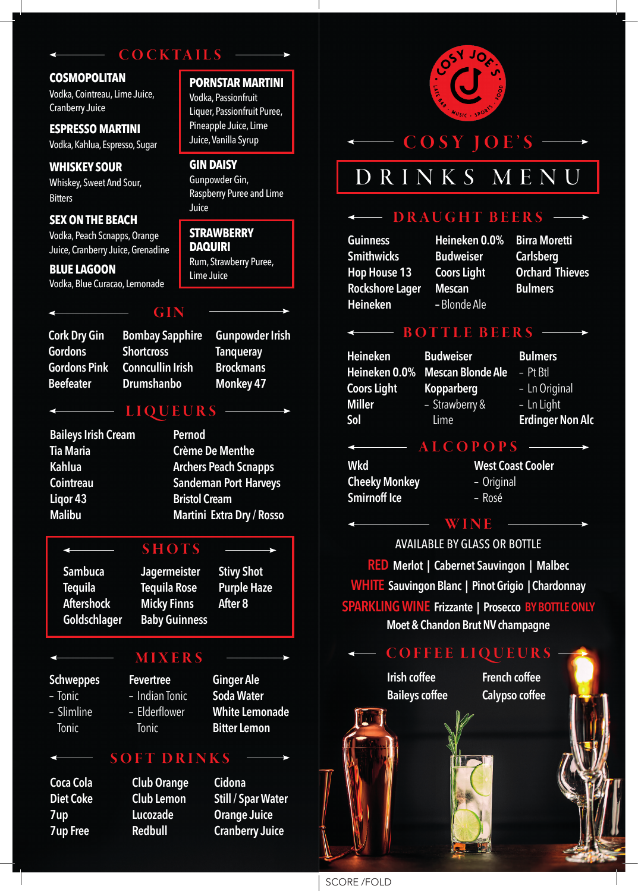# **COCKTAILS**

**PORNSTAR MARTINI**  Vodka, Passionfruit Liquer, Passionfruit Puree, Pineapple Juice, Lime Juice, Vanilla Syrup

Raspberry Puree and Lime

**GIN DAISY**  Gunpowder Gin,

**STRAWBERRY DAQUIRI** 

Lime Juice

Rum, Strawberry Puree,

Juice

#### **COSMOPOLITAN**

Vodka, Cointreau, Lime Juice, Cranberry Juice

#### **ESPRESSO MARTINI**  Vodka, Kahlua, Espresso, Sugar

**WHISKEY SOUR**  Whiskey, Sweet And Sour, **Bitters** 

#### **SEX ON THE BEACH**

Vodka, Peach Scnapps, Orange Juice, Cranberry Juice, Grenadine

**BLUE LAGOON**  Vodka, Blue Curacao, Lemonade

#### GIN

## **Cork Dry Gin Gordons Gordons Pink Beefeater**

**Bombay Sapphire Shortcross Conncullin Irish Drumshanbo** 

**Gunpowder Irish Tanqueray Brockmans Monkey 47**

# LIQUEURS

**Baileys Irish Cream Tia Maria Kahlua Cointreau Liqor 43 Malibu** 

**Pernod Crème De Menthe Archers Peach Scnapps Sandeman Port Harveys Bristol Cream Martini Extra Dry / Rosso**

> **Stivy Shot Purple Haze**

**After 8**

# SHOTS

**Sambuca Tequila Aftershock Goldschlager**

## **Jagermeister Tequila Rose Micky Finns Baby Guinness**

- **Schweppes**
- Tonic
- Slimline Tonic

### **Fevertree**  – Indian Tonic – Elderflower Tonic

**Ginger Ale Soda Water White Lemonade Bitter Lemon**

## SOFT DRINKS

- **Coca Cola Diet Coke 7up 7up Free**
- **Club Orange Club Lemon Lucozade Redbull**

# **Cidona Still / Spar Water Orange Juice Cranberry Juice**



# COSY JOE'S

# DRINKS MENU

# DRAUGHT BEERS

**Guinness Smithwicks Hop House 13 Rockshore Lager Heineken**

**Heineken 0.0% Budweiser Coors Light Mescan –** Blonde Ale

**Birra Moretti Carlsberg Orchard Thieves Bulmers**

# BOTTLE BEERS -

**Budweiser**

**Heineken Heineken 0.0% Coors Light Miller Sol**

**Mescan Blonde Ale Kopparberg** – Strawberry & Lime

**ALCOPOPS** 

**Bulmers** 

– Pt Btl – Ln Original

– Ln Light

- 
- **Erdinger Non Alc**

**Wkd Cheeky Monkey Smirnoff Ice** 

**West Coast Cooler**  – Original – Rosé

# WINE

AVAILABLE BY GLASS OR BOTTLE **RED Merlot | Cabernet Sauvingon | Malbec WHITE Sauvingon Blanc | Pinot Grigio | Chardonnay SPARKLING WINE Frizzante | Prosecco BY BOTTLE ONLY Moet & Chandon Brut NV champagne**

# MIXERS ——> COFFEE LIQUEURS

**Irish coffee Baileys coffee**  **French coffee Calypso coffee**



ا د ۱۳